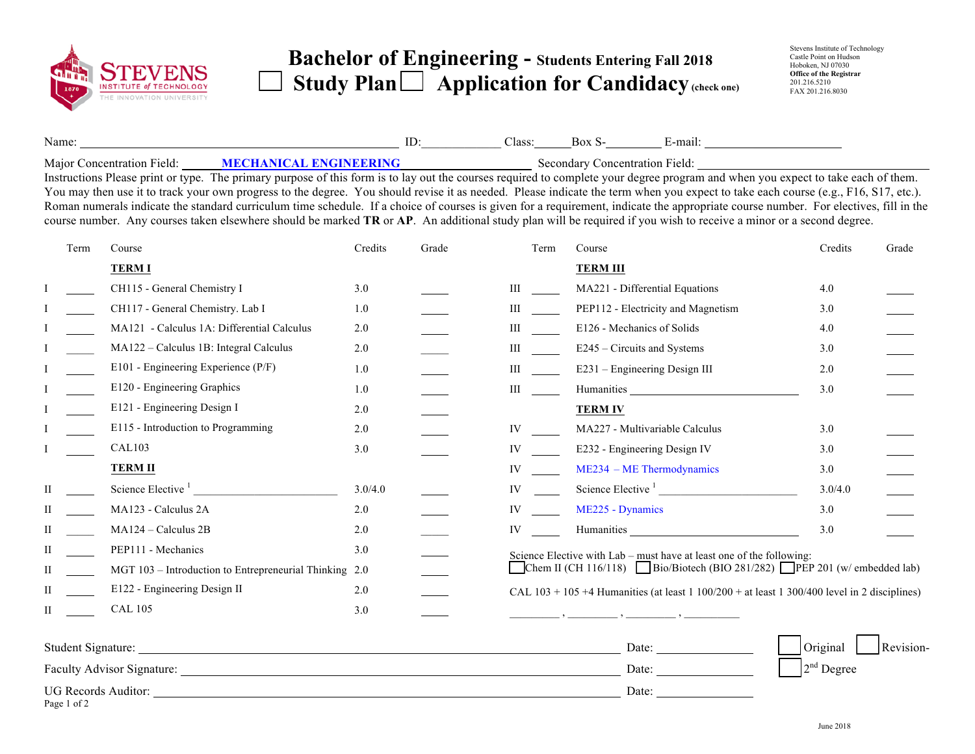

## **Bachelor of Engineering - Students Entering Fall 201<sup>8</sup>**  Study Plan  $\Box$  Application for Candidacy (check one)

| Name:    |                                    | Alass: | -mail |
|----------|------------------------------------|--------|-------|
| $\cdots$ | <b>SERGE LYDOLE BYLODINING ILO</b> |        |       |

Major Concentration Field: **MECHANICAL ENGINEERING** Secondary Concentration Field: Instructions Please print or type. The primary purpose of this form is to lay out the courses required to complete your degree program and when you expect to take each of them. You may then use it to track your own progress to the degree. You should revise it as needed. Please indicate the term when you expect to take each course (e.g., F16, S17, etc.). Roman numerals indicate the standard curriculum time schedule. If a choice of courses is given for a requirement, indicate the appropriate course number. For electives, fill in the course number. Any courses taken elsewhere should be marked **TR** or **AP**. An additional study plan will be required if you wish to receive a minor or a second degree.

|   | Term                       | Course                                                 | Credits<br>Grade |  | Term | Course                                                                                                                                                                                                                         | Credits      | Grade     |  |  |
|---|----------------------------|--------------------------------------------------------|------------------|--|------|--------------------------------------------------------------------------------------------------------------------------------------------------------------------------------------------------------------------------------|--------------|-----------|--|--|
|   |                            | <b>TERMI</b>                                           |                  |  |      | <b>TERM III</b>                                                                                                                                                                                                                |              |           |  |  |
|   |                            | CH115 - General Chemistry I                            | 3.0              |  | Ш    | MA221 - Differential Equations                                                                                                                                                                                                 | 4.0          |           |  |  |
|   |                            | CH117 - General Chemistry. Lab I                       | 1.0              |  | Ш    | PEP112 - Electricity and Magnetism                                                                                                                                                                                             | 3.0          |           |  |  |
|   |                            | MA121 - Calculus 1A: Differential Calculus             | 2.0              |  | Ш    | E126 - Mechanics of Solids                                                                                                                                                                                                     | 4.0          |           |  |  |
|   |                            | MA122 - Calculus 1B: Integral Calculus                 | $2.0$            |  | Ш    | E245 – Circuits and Systems                                                                                                                                                                                                    | 3.0          |           |  |  |
|   |                            | E101 - Engineering Experience (P/F)                    | 1.0              |  | Ш    | E231 - Engineering Design III                                                                                                                                                                                                  | 2.0          |           |  |  |
|   |                            | E120 - Engineering Graphics                            | 1.0              |  | Ш    | Humanities and the state of the state of the state of the state of the state of the state of the state of the state of the state of the state of the state of the state of the state of the state of the state of the state of | 3.0          |           |  |  |
|   |                            | E121 - Engineering Design I                            | 2.0              |  |      | <b>TERM IV</b>                                                                                                                                                                                                                 |              |           |  |  |
|   |                            | E115 - Introduction to Programming                     | 2.0              |  | IV   | MA227 - Multivariable Calculus                                                                                                                                                                                                 | 3.0          |           |  |  |
|   |                            | CAL103                                                 | 3.0              |  | IV   | E232 - Engineering Design IV                                                                                                                                                                                                   | 3.0          |           |  |  |
|   |                            | <b>TERM II</b>                                         |                  |  | IV   | $ME234 - ME Thermodynamics$                                                                                                                                                                                                    | 3.0          |           |  |  |
| П |                            | Science Elective $\frac{1}{1}$                         | 3.0/4.0          |  | IV   | Science Elective <sup>1</sup>                                                                                                                                                                                                  | 3.0/4.0      |           |  |  |
| П |                            | MA123 - Calculus 2A                                    | 2.0              |  | IV   | ME225 - Dynamics                                                                                                                                                                                                               | 3.0          |           |  |  |
| П |                            | MA124 - Calculus 2B                                    | 2.0              |  | IV   | Humanities                                                                                                                                                                                                                     | 3.0          |           |  |  |
| П |                            | PEP111 - Mechanics                                     | 3.0              |  |      | Science Elective with Lab – must have at least one of the following:                                                                                                                                                           |              |           |  |  |
| П |                            | MGT 103 - Introduction to Entrepreneurial Thinking 2.0 |                  |  |      | Chem II (CH 116/118) Bio/Biotech (BIO 281/282) PEP 201 (w/ embedded lab)                                                                                                                                                       |              |           |  |  |
| П |                            | E122 - Engineering Design II                           | 2.0              |  |      | CAL $103 + 105 + 4$ Humanities (at least $1 100/200 +$ at least $1 300/400$ level in 2 disciplines)                                                                                                                            |              |           |  |  |
| П |                            | <b>CAL 105</b>                                         | 3.0              |  |      |                                                                                                                                                                                                                                |              |           |  |  |
|   |                            | Student Signature:                                     |                  |  |      | Date:                                                                                                                                                                                                                          | Original     | Revision- |  |  |
|   | Faculty Advisor Signature: |                                                        |                  |  |      | Date:                                                                                                                                                                                                                          | $2nd$ Degree |           |  |  |

UG Records Auditor: Date: Date: Date: Date: Date: Date: Date: Date: Date: Date: Date: Date: Date: Date: Date: Date: Date: Date: Date: Date: Date: Date: Date: Date: Date: Date: Date: Date: Date: Date: Date: Date: Date: Date Page 1 of 2